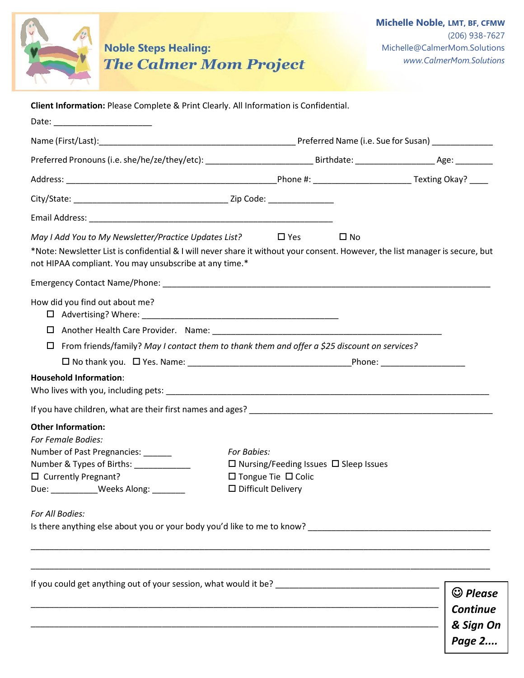

**Noble Steps Healing: The Calmer Mom Project** 

**Client Information:** Please Complete & Print Clearly. All Information is Confidential.

| Date:                                                                                                                                                                                                                                            |                                                                                                                                 |                                                |
|--------------------------------------------------------------------------------------------------------------------------------------------------------------------------------------------------------------------------------------------------|---------------------------------------------------------------------------------------------------------------------------------|------------------------------------------------|
|                                                                                                                                                                                                                                                  |                                                                                                                                 |                                                |
|                                                                                                                                                                                                                                                  |                                                                                                                                 |                                                |
|                                                                                                                                                                                                                                                  |                                                                                                                                 |                                                |
|                                                                                                                                                                                                                                                  |                                                                                                                                 |                                                |
|                                                                                                                                                                                                                                                  |                                                                                                                                 |                                                |
| May I Add You to My Newsletter/Practice Updates List?<br>*Note: Newsletter List is confidential & I will never share it without your consent. However, the list manager is secure, but<br>not HIPAA compliant. You may unsubscribe at any time.* | $\square$ No<br>$\Box$ Yes                                                                                                      |                                                |
|                                                                                                                                                                                                                                                  |                                                                                                                                 |                                                |
| How did you find out about me?                                                                                                                                                                                                                   |                                                                                                                                 |                                                |
| $\Box$ From friends/family? May I contact them to thank them and offer a \$25 discount on services?<br><b>Household Information:</b>                                                                                                             |                                                                                                                                 |                                                |
|                                                                                                                                                                                                                                                  |                                                                                                                                 |                                                |
| <b>Other Information:</b><br>For Female Bodies:<br>Number of Past Pregnancies: ______<br>Number & Types of Births: ____________<br>$\Box$ Currently Pregnant?<br>Due: ____________Weeks Along: _______                                           | For Babies:<br>$\Box$ Nursing/Feeding Issues $\Box$ Sleep Issues<br>$\Box$ Tongue Tie $\Box$ Colic<br>$\Box$ Difficult Delivery |                                                |
| For All Bodies:                                                                                                                                                                                                                                  |                                                                                                                                 |                                                |
|                                                                                                                                                                                                                                                  |                                                                                                                                 | $\odot$ Please<br><b>Continue</b><br>& Sign On |
|                                                                                                                                                                                                                                                  |                                                                                                                                 | Page 2                                         |